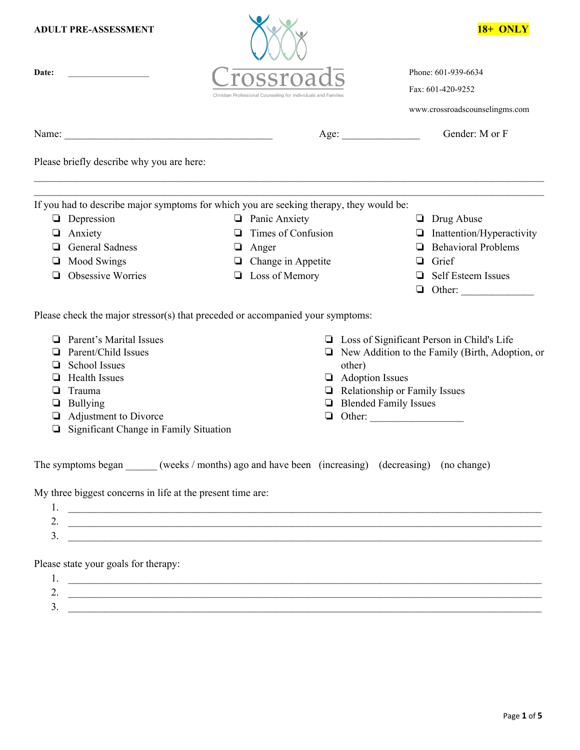|       | <b>ADULT PRE-ASSESSMENT</b>                                |                                                                                                    | 18+ ONLY                                                                                                               |
|-------|------------------------------------------------------------|----------------------------------------------------------------------------------------------------|------------------------------------------------------------------------------------------------------------------------|
| Date: |                                                            |                                                                                                    | Phone: 601-939-6634<br>Fax: 601-420-9252                                                                               |
|       |                                                            | Christian Professional Counseling for Individuals and Familie                                      |                                                                                                                        |
|       |                                                            |                                                                                                    | www.crossroadscounselingms.com                                                                                         |
|       |                                                            |                                                                                                    | Gender: M or F<br>Age:                                                                                                 |
|       | Please briefly describe why you are here:                  |                                                                                                    |                                                                                                                        |
|       |                                                            | If you had to describe major symptoms for which you are seeking therapy, they would be:            |                                                                                                                        |
|       | $\Box$ Depression                                          | $\Box$ Panic Anxiety                                                                               | $\Box$ Drug Abuse                                                                                                      |
| ⊔     | Anxiety                                                    | Times of Confusion                                                                                 | $\Box$ Inattention/Hyperactivity                                                                                       |
| ⊔     | <b>General Sadness</b>                                     | $\Box$ Anger                                                                                       | <b>Behavioral Problems</b><br>u                                                                                        |
| ⊔     | <b>Mood Swings</b>                                         | $\Box$ Change in Appetite                                                                          | Grief                                                                                                                  |
| ❏     | <b>Obsessive Worries</b>                                   | $\Box$ Loss of Memory                                                                              | Self Esteem Issues<br>u<br>$\Box$ Other:                                                                               |
|       |                                                            | Please check the major stressor(s) that preceded or accompanied your symptoms:                     |                                                                                                                        |
| ப     | Parent's Marital Issues                                    |                                                                                                    |                                                                                                                        |
| ⊔     | Parent/Child Issues                                        |                                                                                                    | □ Loss of Significant Person in Child's Life<br>$\Box$ New Addition to the Family (Birth, Adoption, or                 |
| u     | School Issues                                              | other)                                                                                             |                                                                                                                        |
| ⊔     | <b>Health Issues</b>                                       | ❏                                                                                                  | <b>Adoption Issues</b>                                                                                                 |
| u     | Trauma                                                     |                                                                                                    | Relationship or Family Issues                                                                                          |
| ⊔     | <b>Bullying</b>                                            | ⊔                                                                                                  | <b>Blended Family Issues</b>                                                                                           |
|       | Adjustment to Divorce                                      | ❏                                                                                                  | Other:                                                                                                                 |
| ❏     | Significant Change in Family Situation                     |                                                                                                    |                                                                                                                        |
|       |                                                            | The symptoms began ______ (weeks / months) ago and have been (increasing) (decreasing) (no change) |                                                                                                                        |
|       | My three biggest concerns in life at the present time are: |                                                                                                    |                                                                                                                        |
|       |                                                            |                                                                                                    |                                                                                                                        |
|       |                                                            |                                                                                                    | 2. $\overline{\phantom{a}}$                                                                                            |
| 3.    |                                                            |                                                                                                    | <u> 1989 - Jan Sterlingen, skriuwer fan de Amerikaanske kommunister fan de Amerikaanske kommunister fan de Amerika</u> |
|       | Please state your goals for therapy:                       |                                                                                                    |                                                                                                                        |
| 1.    |                                                            |                                                                                                    | <u> 1989 - Andrea Stadt Britain, amerikansk politik (* 1989)</u>                                                       |
| 2.    |                                                            |                                                                                                    |                                                                                                                        |
| 3.    |                                                            |                                                                                                    |                                                                                                                        |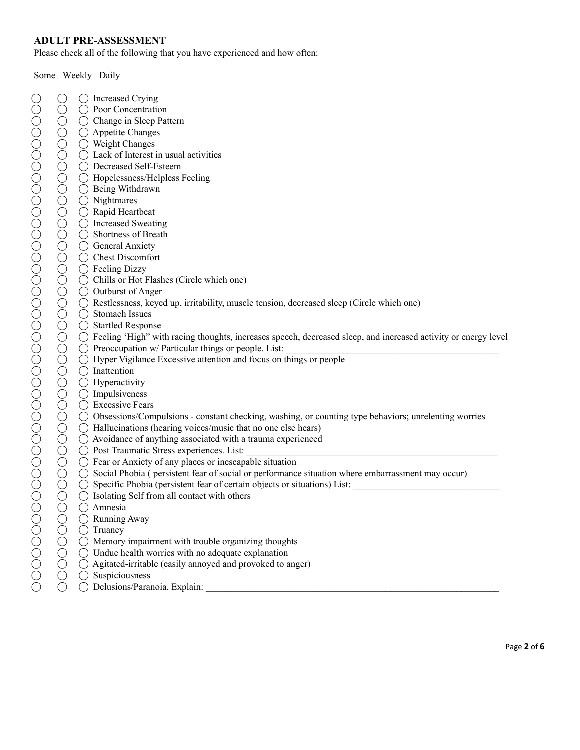Please check all of the following that you have experienced and how often:

Some Weekly Daily

O O Change in Sleep (Contage in Sleep (Contage in Sleep)<br>
O Contage in Sleep (Contage in Sleep)<br>
O Contage in Sleep (Contages Contage of the changes<br>
O Contage in Sleep (Contage S/Helmann Contage Contage Contage in Sleep ( ◯ Poor Concentration ◯ Change in Sleep Pattern  $\bigcap$  Appetite Changes ◯ Weight Changes  $\bigcirc$  Lack of Interest in usual activities ◯ Decreased Self-Esteem ◯ Hopelessness/Helpless Feeling ◯ Being Withdrawn  $\bigcirc$  Nightmares ◯ Rapid Heartbeat ◯ Increased Sweating ◯ Shortness of Breath ◯ General Anxiety  $\bigcap$  Chest Discomfort  $\bigcirc$  Feeling Dizzy ◯ Chills or Hot Flashes (Circle which one)  $\bigcirc$  Outburst of Anger  $\bigcap$  Restlessness, keyed up, irritability, muscle tension, decreased sleep (Circle which one) ◯ Stomach Issues ◯ Startled Response  $\bigcap$  Feeling 'High" with racing thoughts, increases speech, decreased sleep, and increased activity or energy level  $\bigcirc$  Preoccupation w/ Particular things or people. List: ◯ Hyper Vigilance Excessive attention and focus on things or people ⃝ ⃝ ⃝Inattention  $\bigcap$  Hyperactivity ⃝ ⃝ ⃝Impulsiveness ○ Excessive Fears ◯ Obsessions/Compulsions - constant checking, washing, or counting type behaviors; unrelenting worries  $\bigcap$  Hallucinations (hearing voices/music that no one else hears)  $\bigcirc$  Avoidance of anything associated with a trauma experienced ◯ Post Traumatic Stress experiences. List:  $\bigcap$  Fear or Anxiety of any places or inescapable situation ◯ Social Phobia ( persistent fear of social or performance situation where embarrassment may occur) ◯ Specific Phobia (persistent fear of certain objects or situations) List: ◯ Isolating Self from all contact with others  $\bigcap$  Amnesia ◯ Running Away ◯ Truancy  $\bigcirc$  Memory impairment with trouble organizing thoughts  $\bigcap$  Undue health worries with no adequate explanation  $\bigcirc$  Agitated-irritable (easily annoyed and provoked to anger) ◯ Suspiciousness

◯ Delusions/Paranoia. Explain: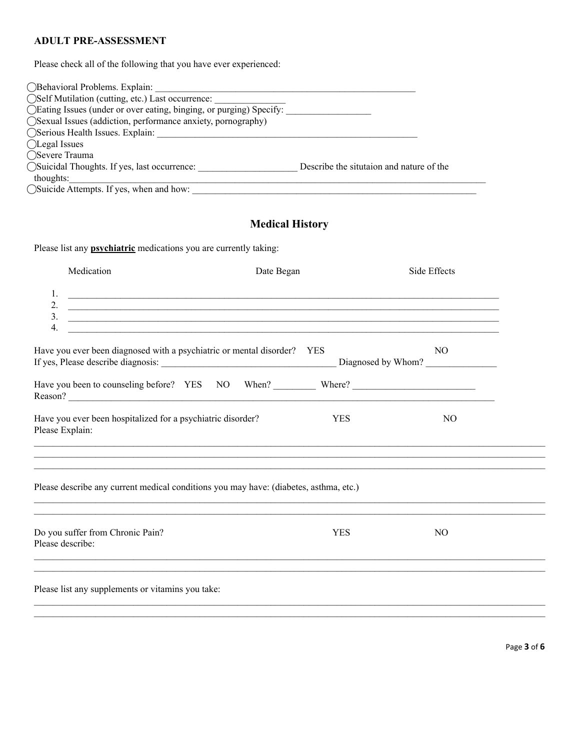Please check all of the following that you have ever experienced:

| ◯Behavioral Problems. Explain:                                      |                                          |
|---------------------------------------------------------------------|------------------------------------------|
| ◯Self Mutilation (cutting, etc.) Last occurrence:                   |                                          |
| (Eating Issues (under or over eating, binging, or purging) Specify: |                                          |
| (Sexual Issues (addiction, performance anxiety, pornography)        |                                          |
| Serious Health Issues. Explain:                                     |                                          |
| ◯Legal Issues                                                       |                                          |
| ○ Severe Trauma                                                     |                                          |
| (Suicidal Thoughts. If yes, last occurrence:                        | Describe the situtaion and nature of the |
| thoughts:                                                           |                                          |
| ◯Suicide Attempts. If yes, when and how:                            |                                          |

# **Medical History**

Please list any **psychiatric** medications you are currently taking:

| Medication                                                                            | Date Began                                                                                                                                 |            | Side Effects                         |  |
|---------------------------------------------------------------------------------------|--------------------------------------------------------------------------------------------------------------------------------------------|------------|--------------------------------------|--|
| 1.<br>2.                                                                              | <u> 1989 - Johann Stoff, deutscher Stoffen und der Stoffen und der Stoffen und der Stoffen und der Stoffen und der</u>                     |            |                                      |  |
| 3.<br>$\overline{4}$ .                                                                | <u> 1989 - Jan Barnett, fransk politiker (d. 1989)</u><br>,我们也不能在这里的时候,我们也不能在这里的时候,我们也不能在这里的时候,我们也不能会在这里的时候,我们也不能会在这里的时候,我们也不能会在这里的时候,我们也不 |            |                                      |  |
| Have you ever been diagnosed with a psychiatric or mental disorder? YES               |                                                                                                                                            |            | N <sub>O</sub><br>Diagnosed by Whom? |  |
|                                                                                       |                                                                                                                                            |            |                                      |  |
| Have you ever been hospitalized for a psychiatric disorder?<br>Please Explain:        |                                                                                                                                            | <b>YES</b> | NO <sub>1</sub>                      |  |
| Please describe any current medical conditions you may have: (diabetes, asthma, etc.) |                                                                                                                                            |            |                                      |  |
| Do you suffer from Chronic Pain?<br>Please describe:                                  | ,我们也不能在这里的人,我们也不能在这里的人,我们也不能不能不能不能不能不能不能不能不能不能不能不能不能不能不能。""我们,我们也不能不能不能不能不能不能不能不能                                                          | <b>YES</b> | NO.                                  |  |
|                                                                                       |                                                                                                                                            |            |                                      |  |

 $\mathcal{L}_\mathcal{L} = \{ \mathcal{L}_\mathcal{L} = \{ \mathcal{L}_\mathcal{L} = \{ \mathcal{L}_\mathcal{L} = \{ \mathcal{L}_\mathcal{L} = \{ \mathcal{L}_\mathcal{L} = \{ \mathcal{L}_\mathcal{L} = \{ \mathcal{L}_\mathcal{L} = \{ \mathcal{L}_\mathcal{L} = \{ \mathcal{L}_\mathcal{L} = \{ \mathcal{L}_\mathcal{L} = \{ \mathcal{L}_\mathcal{L} = \{ \mathcal{L}_\mathcal{L} = \{ \mathcal{L}_\mathcal{L} = \{ \mathcal{L}_\mathcal{$  $\mathcal{L}_\mathcal{L} = \{ \mathcal{L}_\mathcal{L} = \{ \mathcal{L}_\mathcal{L} = \{ \mathcal{L}_\mathcal{L} = \{ \mathcal{L}_\mathcal{L} = \{ \mathcal{L}_\mathcal{L} = \{ \mathcal{L}_\mathcal{L} = \{ \mathcal{L}_\mathcal{L} = \{ \mathcal{L}_\mathcal{L} = \{ \mathcal{L}_\mathcal{L} = \{ \mathcal{L}_\mathcal{L} = \{ \mathcal{L}_\mathcal{L} = \{ \mathcal{L}_\mathcal{L} = \{ \mathcal{L}_\mathcal{L} = \{ \mathcal{L}_\mathcal{$ 

Please list any supplements or vitamins you take: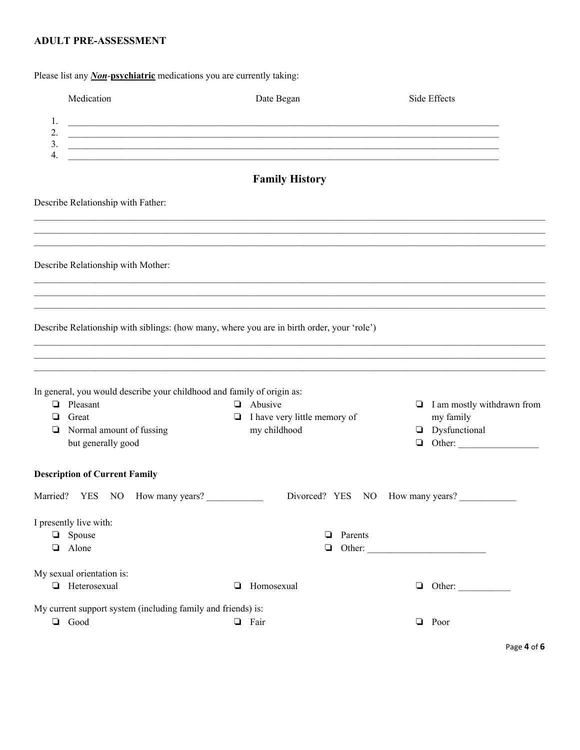Please list any *Non*-**psychiatric** medications you are currently taking:

|                      | Medication                                                                                                                                           | Date Began                                                     | Side Effects                                                           |
|----------------------|------------------------------------------------------------------------------------------------------------------------------------------------------|----------------------------------------------------------------|------------------------------------------------------------------------|
| 1.<br>2.<br>3.<br>4. |                                                                                                                                                      |                                                                |                                                                        |
|                      |                                                                                                                                                      | <b>Family History</b>                                          |                                                                        |
|                      | Describe Relationship with Father:                                                                                                                   |                                                                |                                                                        |
|                      |                                                                                                                                                      |                                                                |                                                                        |
|                      | Describe Relationship with Mother:                                                                                                                   |                                                                |                                                                        |
|                      |                                                                                                                                                      |                                                                |                                                                        |
|                      | Describe Relationship with siblings: (how many, where you are in birth order, your 'role')                                                           |                                                                |                                                                        |
|                      | ,我们也不能在这里的人,我们也不能在这里的人,我们也不能在这里的人,我们也不能在这里的人,我们也不能在这里的人,我们也不能在这里的人,我们也不能在这里的人,我们                                                                     |                                                                |                                                                        |
| ▫<br>❏               | In general, you would describe your childhood and family of origin as:<br>$\Box$ Pleasant<br>Great<br>Normal amount of fussing<br>but generally good | Abusive<br>$\Box$ I have very little memory of<br>my childhood | $\Box$ I am mostly withdrawn from<br>my family<br><b>Dysfunctional</b> |
|                      | <b>Description of Current Family</b>                                                                                                                 |                                                                |                                                                        |
|                      | Married? YES NO How many years?                                                                                                                      |                                                                | Divorced? YES NO How many years?                                       |
|                      | I presently live with:<br>$\Box$ Spouse<br><b>Q</b> Alone                                                                                            | $\Box$ Parents                                                 |                                                                        |
|                      | My sexual orientation is:<br><b>Heterosexual</b>                                                                                                     | Homosexual<br>❏                                                | $\Box$ Other:                                                          |
|                      | My current support system (including family and friends) is:<br>$\Box$ Good                                                                          | $\Box$ Fair                                                    | $\Box$ Poor                                                            |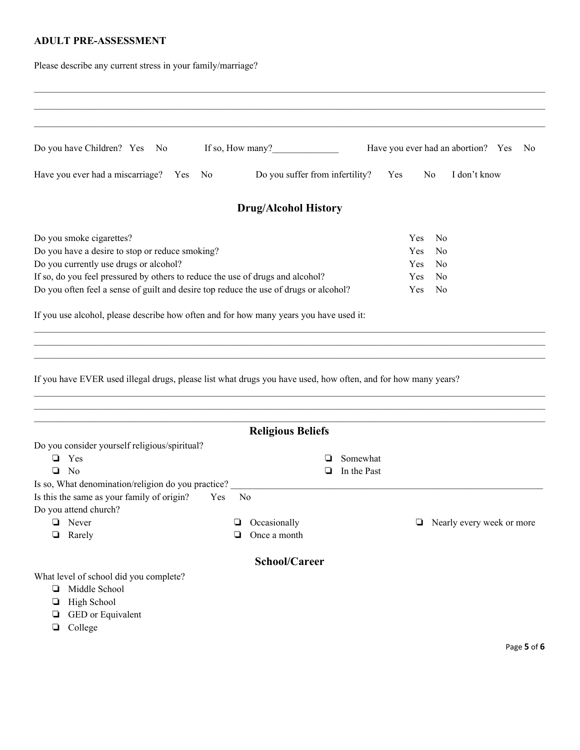Please describe any current stress in your family/marriage?

| Do you have Children? Yes No                                                                                  |        | If so, How many?                |   |             |     |                | Have you ever had an abortion? Yes<br>N <sub>0</sub> |
|---------------------------------------------------------------------------------------------------------------|--------|---------------------------------|---|-------------|-----|----------------|------------------------------------------------------|
| Have you ever had a miscarriage? Yes<br>No.                                                                   |        | Do you suffer from infertility? |   | Yes         |     | No             | I don't know                                         |
|                                                                                                               |        | <b>Drug/Alcohol History</b>     |   |             |     |                |                                                      |
| Do you smoke cigarettes?                                                                                      |        |                                 |   |             | Yes | N <sub>0</sub> |                                                      |
| Do you have a desire to stop or reduce smoking?                                                               |        |                                 |   |             | Yes | N <sub>0</sub> |                                                      |
| Do you currently use drugs or alcohol?                                                                        |        |                                 |   |             | Yes | N <sub>0</sub> |                                                      |
| If so, do you feel pressured by others to reduce the use of drugs and alcohol?                                |        |                                 |   |             | Yes | N <sub>0</sub> |                                                      |
| Do you often feel a sense of guilt and desire top reduce the use of drugs or alcohol?                         |        |                                 |   |             | Yes | N <sub>0</sub> |                                                      |
| If you have EVER used illegal drugs, please list what drugs you have used, how often, and for how many years? |        |                                 |   |             |     |                |                                                      |
|                                                                                                               |        | <b>Religious Beliefs</b>        |   |             |     |                |                                                      |
| Do you consider yourself religious/spiritual?                                                                 |        |                                 |   |             |     |                |                                                      |
| Yes<br>❏                                                                                                      |        |                                 | ⊔ | Somewhat    |     |                |                                                      |
| No<br>$\Box$                                                                                                  |        |                                 | ❏ | In the Past |     |                |                                                      |
| Is so, What denomination/religion do you practice?                                                            |        |                                 |   |             |     |                |                                                      |
| Is this the same as your family of origin?<br>Yes                                                             | No     |                                 |   |             |     |                |                                                      |
| Do you attend church?                                                                                         |        |                                 |   |             |     |                |                                                      |
| Never<br>❏<br>Rarely<br>❏                                                                                     | ⊔<br>❏ | Occasionally<br>Once a month    |   |             | □   |                | Nearly every week or more                            |
|                                                                                                               |        |                                 |   |             |     |                |                                                      |
|                                                                                                               |        | School/Career                   |   |             |     |                |                                                      |
| What level of school did you complete?                                                                        |        |                                 |   |             |     |                |                                                      |
| Middle School<br>❏                                                                                            |        |                                 |   |             |     |                |                                                      |
| High School<br>❏                                                                                              |        |                                 |   |             |     |                |                                                      |
| GED or Equivalent<br>❏                                                                                        |        |                                 |   |             |     |                |                                                      |
| College<br>❏                                                                                                  |        |                                 |   |             |     |                |                                                      |
|                                                                                                               |        |                                 |   |             |     |                |                                                      |